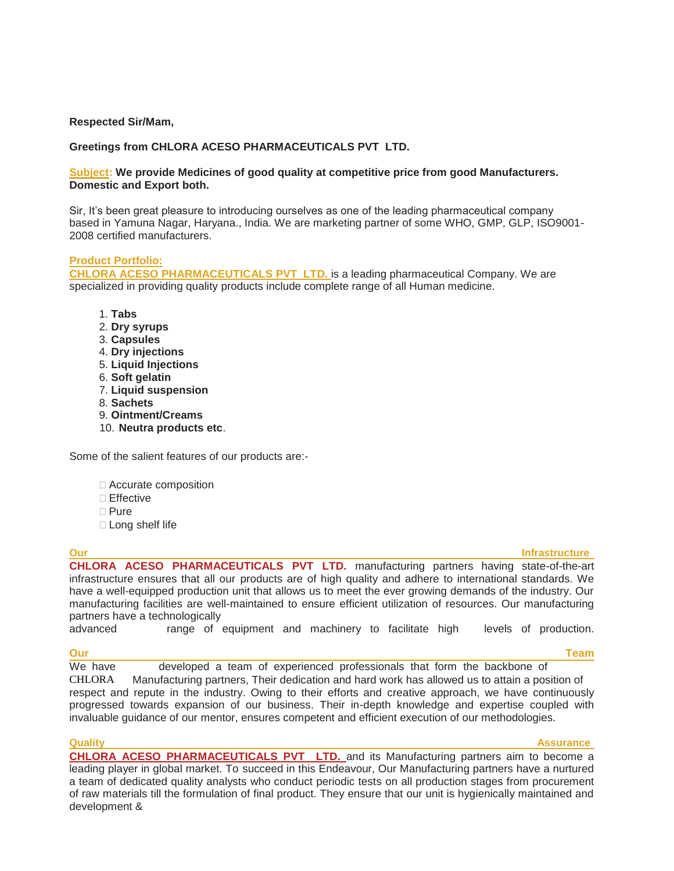# **Respected Sir/Mam,**

# **Greetings from CHLORA ACESO PHARMACEUTICALS PVT LTD.**

## **Subject: We provide Medicines of good quality at competitive price from good Manufacturers. Domestic and Export both.**

Sir, It's been great pleasure to introducing ourselves as one of the leading pharmaceutical company based in Yamuna Nagar, Haryana., India. We are marketing partner of some WHO, GMP, GLP, ISO9001- 2008 certified manufacturers.

## **Product Portfolio:**

**CHLORA ACESO PHARMACEUTICALS PVT LTD.** is a leading pharmaceutical Company. We are specialized in providing quality products include complete range of all Human medicine.

- 1. **Tabs**
- 2. **Dry syrups**
- 3. **Capsules**
- 4. **Dry injections**
- 5. **Liquid Injections**
- 6. **Soft gelatin**
- 7. **Liquid suspension**
- 8. **Sachets**
- 9. **Ointment/Creams**
- 10. **Neutra products etc**.

Some of the salient features of our products are:-

- □ Accurate composition
- □ Effective
- **□ Pure**
- □ Long shelf life

# **Our Infrastructure Infrastructure Infrastructure Infrastructure Infrastructure CHLORA ACESO PHARMACEUTICALS PVT LTD.** manufacturing partners having state-of-the-art

infrastructure ensures that all our products are of high quality and adhere to international standards. We have a well-equipped production unit that allows us to meet the ever growing demands of the industry. Our manufacturing facilities are well-maintained to ensure efficient utilization of resources. Our manufacturing partners have a technologically<br>advanced range of

range of equipment and machinery to facilitate high levels of production.

## **Our Team**

development &

We have developed a team of experienced professionals that form the backbone of

CHLORA Manufacturing partners, Their dedication and hard work has allowed us to attain a position of respect and repute in the industry. Owing to their efforts and creative approach, we have continuously progressed towards expansion of our business. Their in-depth knowledge and expertise coupled with invaluable guidance of our mentor, ensures competent and efficient execution of our methodologies.

## **Quality Assurance CHLORA ACESO PHARMACEUTICALS PVT LTD.** and its Manufacturing partners aim to become a leading player in global market. To succeed in this Endeavour, Our Manufacturing partners have a nurtured a team of dedicated quality analysts who conduct periodic tests on all production stages from procurement of raw materials till the formulation of final product. They ensure that our unit is hygienically maintained and